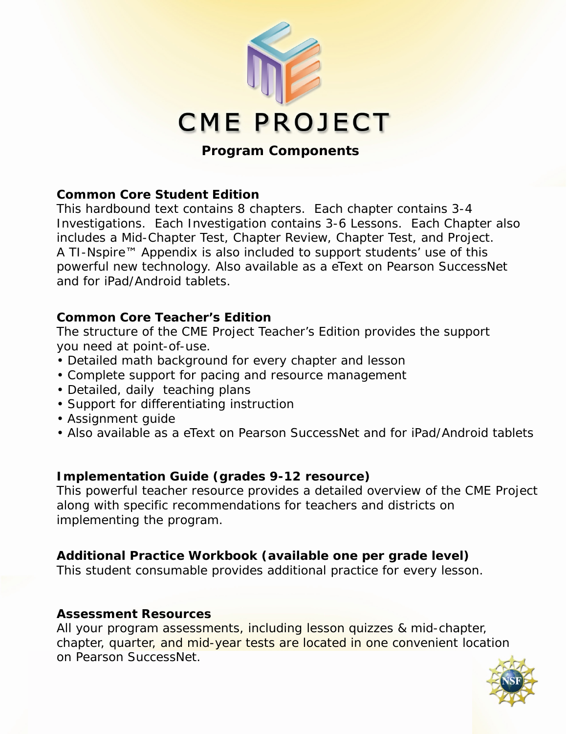

# **Common Core Student Edition**

This hardbound text contains 8 chapters. Each chapter contains 3-4 Investigations. Each Investigation contains 3-6 Lessons. Each Chapter also includes a Mid-Chapter Test, Chapter Review, Chapter Test, and Project. A TI-Nspire™ Appendix is also included to support students' use of this powerful new technology. Also available as a eText on Pearson SuccessNet and for iPad/Android tablets.

### **Common Core Teacher's Edition**

The structure of the CME Project Teacher's Edition provides the support you need at point-of-use.

- Detailed math background for every chapter and lesson
- Complete support for pacing and resource management
- Detailed, daily teaching plans
- Support for differentiating instruction
- Assignment guide
- Also available as a eText on Pearson SuccessNet and for iPad/Android tablets

# **Implementation Guide (grades 9-12 resource)**

This powerful teacher resource provides a detailed overview of the CME Project along with specific recommendations for teachers and districts on implementing the program.

### **Additional Practice Workbook (available one per grade level)**

This student consumable provides additional practice for every lesson.

#### **Assessment Resources**

All your program assessments, including lesson quizzes & mid-chapter, chapter, quarter, and mid-year tests are located in one convenient location on Pearson SuccessNet.